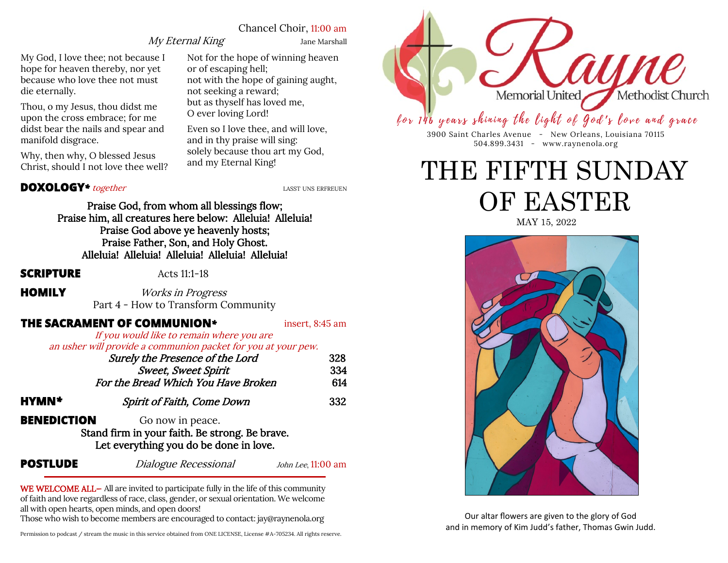## Chancel Choir, 11:00 am

# My Eternal King Jane Marshall

My God, I love thee; not because I hope for heaven thereby, nor yet because who love thee not must die eternally.

Thou, o my Jesus, thou didst me upon the cross embrace; for me didst bear the nails and spear and manifold disgrace.

Why, then why, O blessed Jesus Christ, should I not love thee well? Not for the hope of winning heaven or of escaping hell; not with the hope of gaining aught, not seeking a reward; but as thyself has loved me, O ever loving Lord!

Even so I love thee, and will love, and in thy praise will sing: solely because thou art my God, and my Eternal King!

# **DOXOLOGY**<sup>\*</sup> together *LASST UNS ERFREUEN*

Praise God, from whom all blessings flow; Praise him, all creatures here below: Alleluia! Alleluia! Praise God above ye heavenly hosts; Praise Father, Son, and Holy Ghost. Alleluia! Alleluia! Alleluia! Alleluia! Alleluia!

**SCRIPTURE** Acts 11:1-18

# **HOMILY** *Works in Progress*

Part 4 - How to Transform Community

# **THE SACRAMENT OF COMMUNION**<sup>\*</sup> insert, 8:45 am

If you would like to remain where you are an usher will provide a communion packet for you at your pew.

|                    | Surely the Presence of the Lord                                                                              | 328                  |
|--------------------|--------------------------------------------------------------------------------------------------------------|----------------------|
|                    | <b>Sweet, Sweet Spirit</b>                                                                                   | 334                  |
|                    | For the Bread Which You Have Broken                                                                          | 614                  |
| HYMN*              | Spirit of Faith, Come Down                                                                                   | 332                  |
| <b>BENEDICTION</b> | Go now in peace.<br>Stand firm in your faith. Be strong. Be brave.<br>Let everything you do be done in love. |                      |
| <b>POSTLUDE</b>    | Dialogue Recessional                                                                                         | John Lee, $11:00$ am |

WE WELCOME ALL— All are invited to participate fully in the life of this community of faith and love regardless of race, class, gender, or sexual orientation. We welcome all with open hearts, open minds, and open doors!

Those who wish to become members are encouraged to contact: jay@raynenola.org

Permission to podcast / stream the music in this service obtained from ONE LICENSE, License #A-705234. All rights reserve. 



# for 146 years shining the light of God's love and grace

3900 Saint Charles Avenue - New Orleans, Louisiana 70115 504.899.3431 - www.raynenola.org

# THE FIFTH SUNDAY OF EASTER

MAY 15, 2022



Our altar flowers are given to the glory of God and in memory of Kim Judd's father, Thomas Gwin Judd.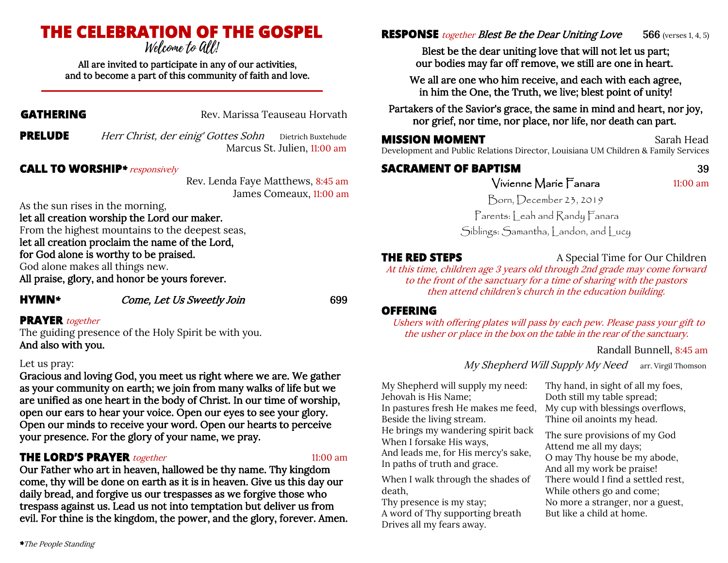# **THE CELEBRATION OF THE GOSPEL**

All are invited to participate in any of our activities, and to become a part of this community of faith and love.

**GATHERING** Rev. Marissa Teauseau Horvath

**PRELUDE** Herr Christ, der einig' Gottes Sohn Dietrich Buxtehude Marcus St. Julien, 11:00 am

# **CALL TO WORSHIP***\**responsively

 Rev. Lenda Faye Matthews, 8:45 am James Comeaux, 11:00 am

As the sun rises in the morning,

let all creation worship the Lord our maker.

From the highest mountains to the deepest seas, let all creation proclaim the name of the Lord, for God alone is worthy to be praised.

God alone makes all things new.

All praise, glory, and honor be yours forever.

**HYMN***\** Come, Let Us Sweetly Join 699

# **PRAYER** together

The guiding presence of the Holy Spirit be with you. And also with you.

### Let us pray:

Gracious and loving God, you meet us right where we are. We gather as your community on earth; we join from many walks of life but we are unified as one heart in the body of Christ. In our time of worship, open our ears to hear your voice. Open our eyes to see your glory. Open our minds to receive your word. Open our hearts to perceive your presence. For the glory of your name, we pray.

# **THE LORD'S PRAYER** *together* 11:00 am

Our Father who art in heaven, hallowed be thy name. Thy kingdom come, thy will be done on earth as it is in heaven. Give us this day our daily bread, and forgive us our trespasses as we forgive those who trespass against us. Lead us not into temptation but deliver us from evil. For thine is the kingdom, the power, and the glory, forever. Amen. **RESPONSE** *together Blest Be the Dear Uniting Love* 566 (verses 1, 4, 5)

Blest be the dear uniting love that will not let us part; our bodies may far off remove, we still are one in heart.

We all are one who him receive, and each with each agree, in him the One, the Truth, we live; blest point of unity!

Partakers of the Savior's grace, the same in mind and heart, nor joy, nor grief, nor time, nor place, nor life, nor death can part.

# **MISSION MOMENT Sarah Head**

Development and Public Relations Director, Louisiana UM Children & Family Services

# **SACRAMENT OF BAPTISM** 39 Vivienne Marie Fanara 11:00 am

Born, December 23, 2019

Parents: Leah and Randy Fanara Siblings: Samantha, Landon, and Lucy

**THE RED STEPS** A Special Time for Our Children At this time, children age 3 years old through 2nd grade may come forward

to the front of the sanctuary for a time of sharing with the pastors then attend children's church in the education building.

# **OFFERING**

Ushers with offering plates will pass by each pew. Please pass your gift to the usher or place in the box on the table in the rear of the sanctuary.

# Randall Bunnell, 8:45 am

My Shepherd Will Supply My Need arr. Virgil Thomson

My Shepherd will supply my need: Jehovah is His Name; In pastures fresh He makes me feed, Beside the living stream. He brings my wandering spirit back When I forsake His ways, And leads me, for His mercy's sake, In paths of truth and grace.

When I walk through the shades of death,

Thy presence is my stay; A word of Thy supporting breath Drives all my fears away.

Thy hand, in sight of all my foes, Doth still my table spread; My cup with blessings overflows, Thine oil anoints my head.

The sure provisions of my God Attend me all my days; O may Thy house be my abode, And all my work be praise! There would I find a settled rest, While others go and come; No more a stranger, nor a guest, But like a child at home.